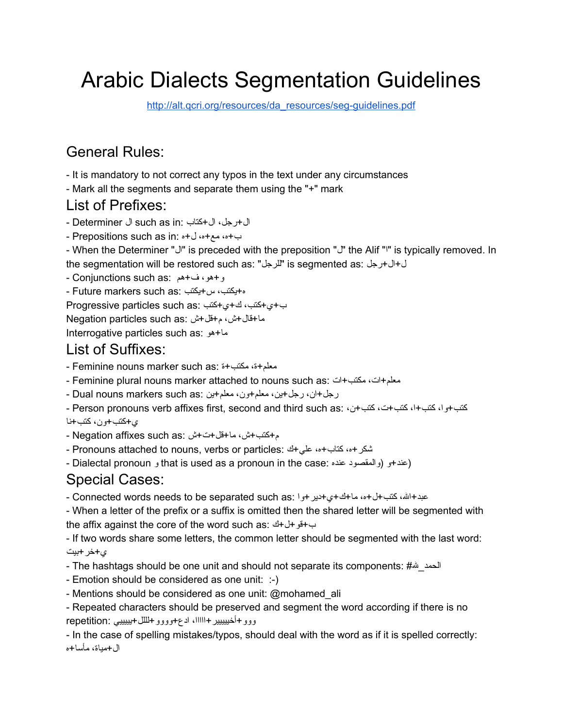# Arabic Dialects Segmentation Guidelines

[http://alt.qcri.org/resources/da\\_resources/seg-guidelines.pdf](http://alt.qcri.org/resources/da_resources/seg-guidelines.pdf)

## General Rules:

- It is mandatory to not correct any typos in the text under any circumstances

- Mark all the segments and separate them using the "+" mark

## List of Prefixes:

ال+رجل، ال+كتاب :in as such ال Determiner -

ب+ه، مع+ه، ل+ه :in as such Prepositions -

- When the Determiner "J" is preceded with the preposition "J" the Alif "I" is typically removed. In the segmentation will be restored such as: "للرجل "is segmented as: رجل+ال+ل

و+هو، ف+هم :as such Conjunctions -

ه+یكتب، س+یكتب :as such markers Future -

ب+ي+كتب، ك+ي+كتب :as such particles Progressive

ما+قال+ش، م+قل+ش :as such particles Negation

Interrogative particles such as: هو+ما

## List of Suffixes:

- Feminine nouns marker such as: ة+مكتب ،ة+معلم

- Feminine plural nouns marker attached to nouns such as: ات+مكتب ،ات+معلم

رجل+ان، رجل+ین، معلم+ون، معلم+ین :Dual nouns markers such as

- Person pronouns verb affixes first, second and third such as: ،ن+كتب ،ت+كتب ،ا+كتب ،وا+كتب ي+كتب+ون، كتب+نا

م+كتب+ش، ما+قل+ت+ش :Negation affixes such as -

- Pronouns attached to nouns, verbs or particles: شكر +ه، كتاب +ه، علي +ك

- Dialectal pronoun و that is used as a pronoun in the case: و المقصود عنده)

## Special Cases:

عبد+الله، كتب+ل+ه، ما+ك+ى+دیر +وا :Connected words needs to be separated such as -

- When a letter of the prefix or a suffix is omitted then the shared letter will be segmented with the affix against the core of the word such as: ك+ل+قو+ب

- If two words share some letters, the common letter should be segmented with the last word: ي+خر+بیت

- The hashtags should be one unit and should not separate its components: #الله\_الحمد

- Emotion should be considered as one unit: :-)
- Mentions should be considered as one unit: @mohamed\_ali
- Repeated characters should be preserved and segment the word according if there is no ووو+أخیییییر+ااااا، ادع+وووو+لللل+یییییي :repetition

- In the case of spelling mistakes/typos, should deal with the word as if it is spelled correctly: ال+میاة، مأسا+ه